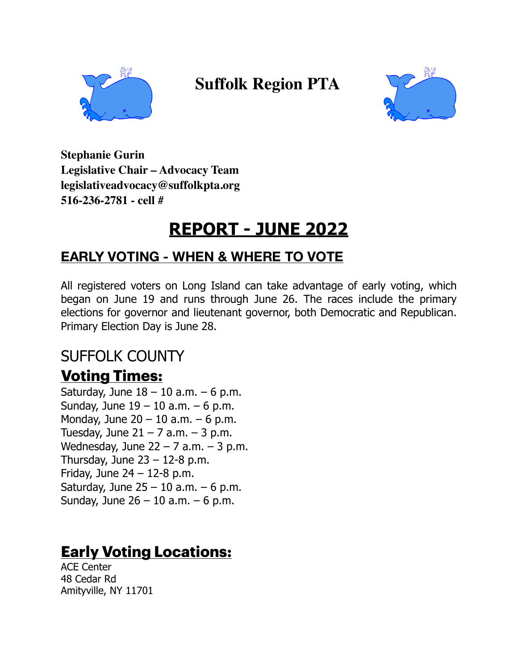

 **Suffolk Region PTA** 



**Stephanie Gurin Legislative Chair – Advocacy Team legislativeadvocacy@suffolkpta.org 516-236-2781 - cell #**

# **REPORT - JUNE 2022**

#### **EARLY VOTING - WHEN & WHERE TO VOTE**

All registered voters on Long Island can take advantage of early voting, which began on June 19 and runs through June 26. The races include the primary elections for governor and lieutenant governor, both Democratic and Republican. Primary Election Day is June 28.

## SUFFOLK COUNTY

#### **Voting Times:**

Saturday, June  $18 - 10$  a.m.  $-6$  p.m. Sunday, June  $19 - 10$  a.m.  $-6$  p.m. Monday, June  $20 - 10$  a.m.  $-6$  p.m. Tuesday, June  $21 - 7$  a.m.  $-3$  p.m. Wednesday, June  $22 - 7$  a.m.  $-3$  p.m. Thursday, June  $23 - 12-8$  p.m. Friday, June  $24 - 12-8$  p.m. Saturday, June  $25 - 10$  a.m.  $-6$  p.m. Sunday, June  $26 - 10$  a.m.  $-6$  p.m.

## **Early Voting Locations:**

ACE Center 48 Cedar Rd Amityville, NY 11701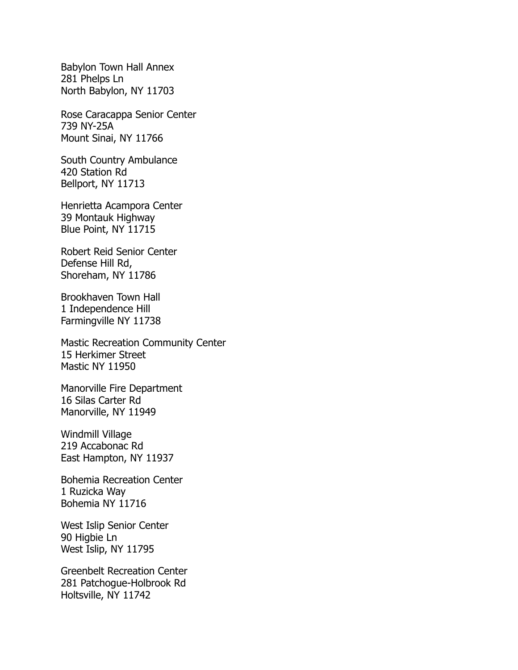Babylon Town Hall Annex 281 Phelps Ln North Babylon, NY 11703

Rose Caracappa Senior Center 739 NY-25A Mount Sinai, NY 11766

South Country Ambulance 420 Station Rd Bellport, NY 11713

Henrietta Acampora Center 39 Montauk Highway Blue Point, NY 11715

Robert Reid Senior Center Defense Hill Rd, Shoreham, NY 11786

Brookhaven Town Hall 1 Independence Hill Farmingville NY 11738

Mastic Recreation Community Center 15 Herkimer Street Mastic NY 11950

Manorville Fire Department 16 Silas Carter Rd Manorville, NY 11949

Windmill Village 219 Accabonac Rd East Hampton, NY 11937

Bohemia Recreation Center 1 Ruzicka Way Bohemia NY 11716

West Islip Senior Center 90 Higbie Ln West Islip, NY 11795

Greenbelt Recreation Center 281 Patchogue-Holbrook Rd Holtsville, NY 11742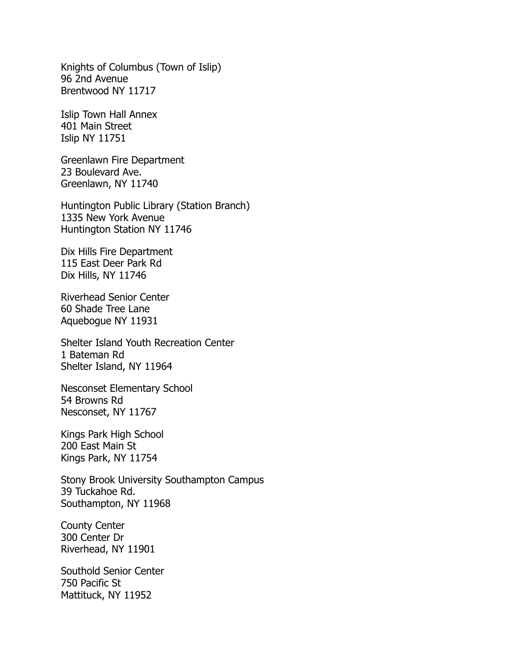Knights of Columbus (Town of Islip) 96 2nd Avenue Brentwood NY 11717

Islip Town Hall Annex 401 Main Street Islip NY 11751

Greenlawn Fire Department 23 Boulevard Ave. Greenlawn, NY 11740

Huntington Public Library (Station Branch) 1335 New York Avenue Huntington Station NY 11746

Dix Hills Fire Department 115 East Deer Park Rd Dix Hills, NY 11746

Riverhead Senior Center 60 Shade Tree Lane Aquebogue NY 11931

Shelter Island Youth Recreation Center 1 Bateman Rd Shelter Island, NY 11964

Nesconset Elementary School 54 Browns Rd Nesconset, NY 11767

Kings Park High School 200 East Main St Kings Park, NY 11754

Stony Brook University Southampton Campus 39 Tuckahoe Rd. Southampton, NY 11968

County Center 300 Center Dr Riverhead, NY 11901

Southold Senior Center 750 Pacific St Mattituck, NY 11952